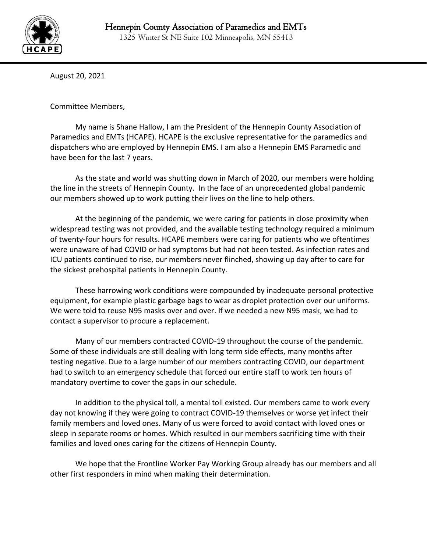

٦

August 20, 2021

Committee Members,

My name is Shane Hallow, I am the President of the Hennepin County Association of Paramedics and EMTs (HCAPE). HCAPE is the exclusive representative for the paramedics and dispatchers who are employed by Hennepin EMS. I am also a Hennepin EMS Paramedic and have been for the last 7 years.

As the state and world was shutting down in March of 2020, our members were holding the line in the streets of Hennepin County. In the face of an unprecedented global pandemic our members showed up to work putting their lives on the line to help others.

At the beginning of the pandemic, we were caring for patients in close proximity when widespread testing was not provided, and the available testing technology required a minimum of twenty-four hours for results. HCAPE members were caring for patients who we oftentimes were unaware of had COVID or had symptoms but had not been tested. As infection rates and ICU patients continued to rise, our members never flinched, showing up day after to care for the sickest prehospital patients in Hennepin County.

These harrowing work conditions were compounded by inadequate personal protective equipment, for example plastic garbage bags to wear as droplet protection over our uniforms. We were told to reuse N95 masks over and over. If we needed a new N95 mask, we had to contact a supervisor to procure a replacement.

Many of our members contracted COVID-19 throughout the course of the pandemic. Some of these individuals are still dealing with long term side effects, many months after testing negative. Due to a large number of our members contracting COVID, our department had to switch to an emergency schedule that forced our entire staff to work ten hours of mandatory overtime to cover the gaps in our schedule.

In addition to the physical toll, a mental toll existed. Our members came to work every day not knowing if they were going to contract COVID-19 themselves or worse yet infect their family members and loved ones. Many of us were forced to avoid contact with loved ones or sleep in separate rooms or homes. Which resulted in our members sacrificing time with their families and loved ones caring for the citizens of Hennepin County.

We hope that the Frontline Worker Pay Working Group already has our members and all other first responders in mind when making their determination.